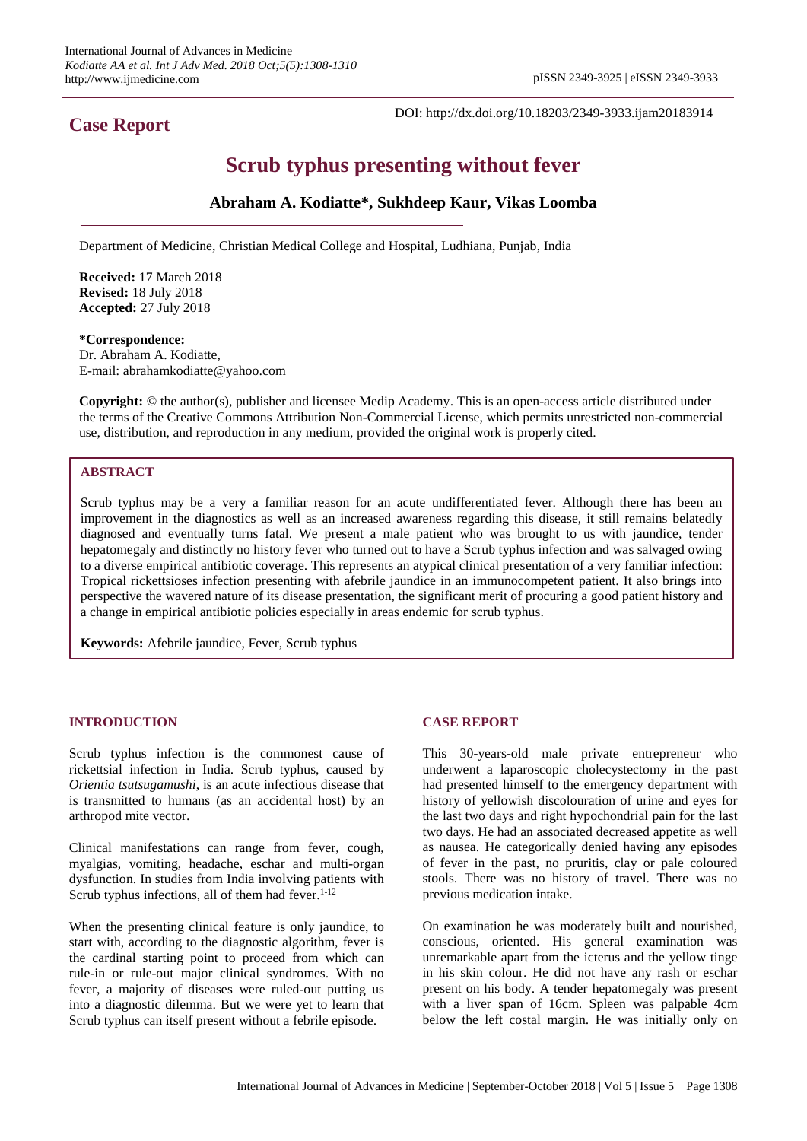# **Case Report**

DOI: http://dx.doi.org/10.18203/2349-3933.ijam20183914

# **Scrub typhus presenting without fever**

# **Abraham A. Kodiatte\*, Sukhdeep Kaur, Vikas Loomba**

Department of Medicine, Christian Medical College and Hospital, Ludhiana, Punjab, India

**Received:** 17 March 2018 **Revised:** 18 July 2018 **Accepted:** 27 July 2018

#### **\*Correspondence:** Dr. Abraham A. Kodiatte,

E-mail: abrahamkodiatte@yahoo.com

**Copyright:** © the author(s), publisher and licensee Medip Academy. This is an open-access article distributed under the terms of the Creative Commons Attribution Non-Commercial License, which permits unrestricted non-commercial use, distribution, and reproduction in any medium, provided the original work is properly cited.

# **ABSTRACT**

Scrub typhus may be a very a familiar reason for an acute undifferentiated fever. Although there has been an improvement in the diagnostics as well as an increased awareness regarding this disease, it still remains belatedly diagnosed and eventually turns fatal. We present a male patient who was brought to us with jaundice, tender hepatomegaly and distinctly no history fever who turned out to have a Scrub typhus infection and was salvaged owing to a diverse empirical antibiotic coverage. This represents an atypical clinical presentation of a very familiar infection: Tropical rickettsioses infection presenting with afebrile jaundice in an immunocompetent patient. It also brings into perspective the wavered nature of its disease presentation, the significant merit of procuring a good patient history and a change in empirical antibiotic policies especially in areas endemic for scrub typhus.

**Keywords:** Afebrile jaundice, Fever, Scrub typhus

#### **INTRODUCTION**

Scrub typhus infection is the commonest cause of rickettsial infection in India. Scrub typhus, caused by *Orientia tsutsugamushi*, is an acute infectious disease that is transmitted to humans (as an accidental host) by an arthropod mite vector.

Clinical manifestations can range from fever, cough, myalgias, vomiting, headache, eschar and multi-organ dysfunction. In studies from India involving patients with Scrub typhus infections, all of them had fever. $1-12$ 

When the presenting clinical feature is only jaundice, to start with, according to the diagnostic algorithm, fever is the cardinal starting point to proceed from which can rule-in or rule-out major clinical syndromes. With no fever, a majority of diseases were ruled-out putting us into a diagnostic dilemma. But we were yet to learn that Scrub typhus can itself present without a febrile episode.

### **CASE REPORT**

This 30-years-old male private entrepreneur who underwent a laparoscopic cholecystectomy in the past had presented himself to the emergency department with history of yellowish discolouration of urine and eyes for the last two days and right hypochondrial pain for the last two days. He had an associated decreased appetite as well as nausea. He categorically denied having any episodes of fever in the past, no pruritis, clay or pale coloured stools. There was no history of travel. There was no previous medication intake.

On examination he was moderately built and nourished, conscious, oriented. His general examination was unremarkable apart from the icterus and the yellow tinge in his skin colour. He did not have any rash or eschar present on his body. A tender hepatomegaly was present with a liver span of 16cm. Spleen was palpable 4cm below the left costal margin. He was initially only on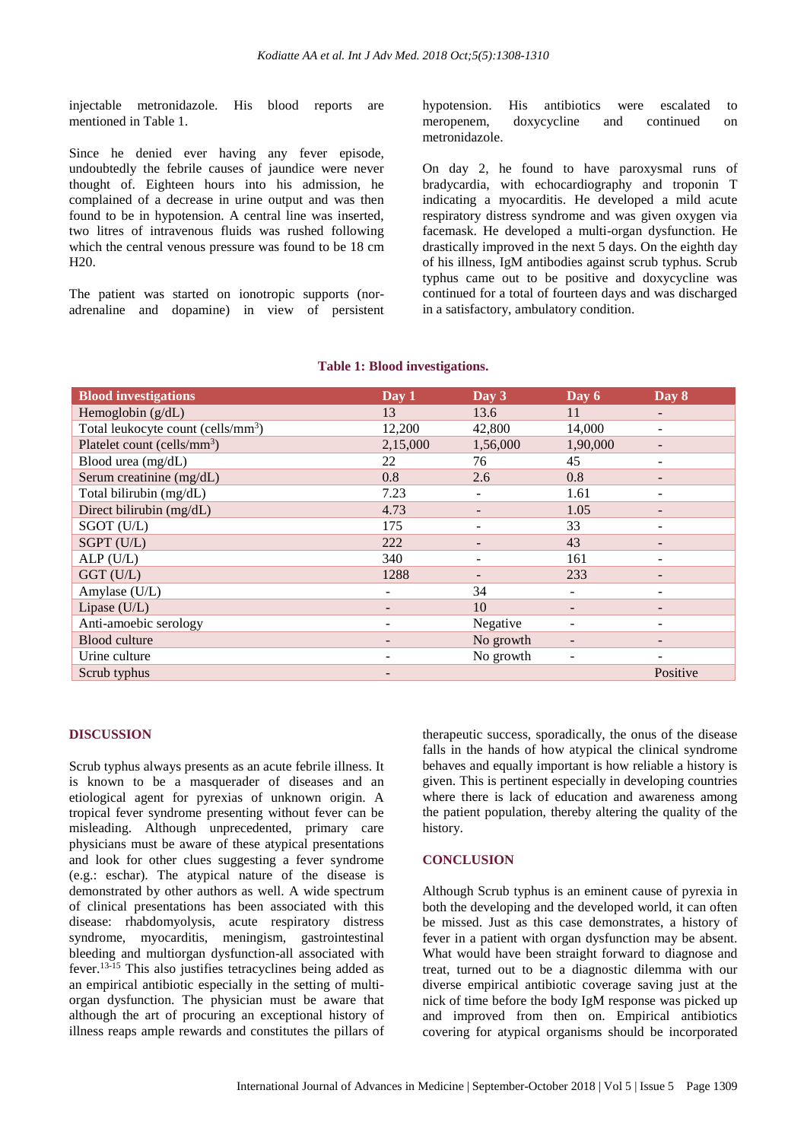injectable metronidazole. His blood reports are mentioned in Table 1.

Since he denied ever having any fever episode, undoubtedly the febrile causes of jaundice were never thought of. Eighteen hours into his admission, he complained of a decrease in urine output and was then found to be in hypotension. A central line was inserted, two litres of intravenous fluids was rushed following which the central venous pressure was found to be 18 cm H20.

The patient was started on ionotropic supports (noradrenaline and dopamine) in view of persistent hypotension. His antibiotics were escalated to meropenem, doxycycline and continued on metronidazole.

On day 2, he found to have paroxysmal runs of bradycardia, with echocardiography and troponin T indicating a myocarditis. He developed a mild acute respiratory distress syndrome and was given oxygen via facemask. He developed a multi-organ dysfunction. He drastically improved in the next 5 days. On the eighth day of his illness, IgM antibodies against scrub typhus. Scrub typhus came out to be positive and doxycycline was continued for a total of fourteen days and was discharged in a satisfactory, ambulatory condition.

| <b>Blood investigations</b>                    | Day 1                    | Day 3     | Day 6    | Day 8                    |
|------------------------------------------------|--------------------------|-----------|----------|--------------------------|
| Hemoglobin $(g/dL)$                            | 13                       | 13.6      | 11       | $\overline{\phantom{a}}$ |
| Total leukocyte count (cells/mm <sup>3</sup> ) | 12,200                   | 42,800    | 14,000   |                          |
| Platelet count (cells/mm <sup>3</sup> )        | 2,15,000                 | 1,56,000  | 1,90,000 |                          |
| Blood urea (mg/dL)                             | 22                       | 76        | 45       |                          |
| Serum creatinine (mg/dL)                       | 0.8                      | 2.6       | 0.8      |                          |
| Total bilirubin (mg/dL)                        | 7.23                     |           | 1.61     |                          |
| Direct bilirubin (mg/dL)                       | 4.73                     |           | 1.05     |                          |
| SGOT (U/L)                                     | 175                      |           | 33       | ۰                        |
| SGPT (U/L)                                     | 222                      |           | 43       | -                        |
| ALP(U/L)                                       | 340                      |           | 161      | $\overline{\phantom{0}}$ |
| GGT (U/L)                                      | 1288                     |           | 233      | -                        |
| Amylase (U/L)                                  | -                        | 34        | -        | -                        |
| Lipase $(U/L)$                                 |                          | 10        | -        | -                        |
| Anti-amoebic serology                          | -                        | Negative  | ۰        | -                        |
| <b>Blood culture</b>                           | -                        | No growth | -        | -                        |
| Urine culture                                  | $\overline{\phantom{a}}$ | No growth | ۰        |                          |
| Scrub typhus                                   | -                        |           |          | Positive                 |

# **Table 1: Blood investigations.**

#### **DISCUSSION**

Scrub typhus always presents as an acute febrile illness. It is known to be a masquerader of diseases and an etiological agent for pyrexias of unknown origin. A tropical fever syndrome presenting without fever can be misleading. Although unprecedented, primary care physicians must be aware of these atypical presentations and look for other clues suggesting a fever syndrome (e.g.: eschar). The atypical nature of the disease is demonstrated by other authors as well. A wide spectrum of clinical presentations has been associated with this disease: rhabdomyolysis, acute respiratory distress syndrome, myocarditis, meningism, gastrointestinal bleeding and multiorgan dysfunction-all associated with fever.13-15 This also justifies tetracyclines being added as an empirical antibiotic especially in the setting of multiorgan dysfunction. The physician must be aware that although the art of procuring an exceptional history of illness reaps ample rewards and constitutes the pillars of therapeutic success, sporadically, the onus of the disease falls in the hands of how atypical the clinical syndrome behaves and equally important is how reliable a history is given. This is pertinent especially in developing countries where there is lack of education and awareness among the patient population, thereby altering the quality of the history.

#### **CONCLUSION**

Although Scrub typhus is an eminent cause of pyrexia in both the developing and the developed world, it can often be missed. Just as this case demonstrates, a history of fever in a patient with organ dysfunction may be absent. What would have been straight forward to diagnose and treat, turned out to be a diagnostic dilemma with our diverse empirical antibiotic coverage saving just at the nick of time before the body IgM response was picked up and improved from then on. Empirical antibiotics covering for atypical organisms should be incorporated